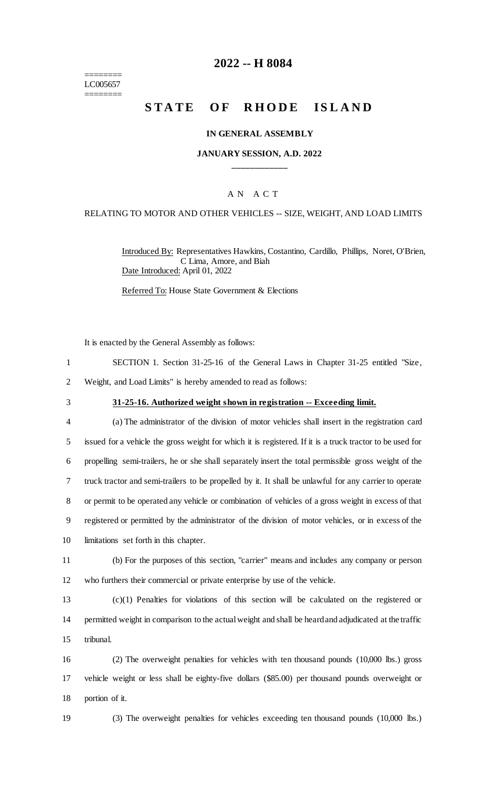======== LC005657 ========

# **2022 -- H 8084**

# **STATE OF RHODE ISLAND**

### **IN GENERAL ASSEMBLY**

### **JANUARY SESSION, A.D. 2022 \_\_\_\_\_\_\_\_\_\_\_\_**

### A N A C T

# RELATING TO MOTOR AND OTHER VEHICLES -- SIZE, WEIGHT, AND LOAD LIMITS

Introduced By: Representatives Hawkins, Costantino, Cardillo, Phillips, Noret, O'Brien, C Lima, Amore, and Biah Date Introduced: April 01, 2022

Referred To: House State Government & Elections

It is enacted by the General Assembly as follows:

| SECTION 1. Section 31-25-16 of the General Laws in Chapter 31-25 entitled "Size, |  |  |  |  |  |
|----------------------------------------------------------------------------------|--|--|--|--|--|
| Weight, and Load Limits" is hereby amended to read as follows:                   |  |  |  |  |  |

#### 3 **31-25-16. Authorized weight shown in registration -- Exceeding limit.**

| $\overline{4}$ | (a) The administrator of the division of motor vehicles shall insert in the registration card             |
|----------------|-----------------------------------------------------------------------------------------------------------|
| 5              | issued for a vehicle the gross weight for which it is registered. If it is a truck tractor to be used for |
| 6              | propelling semi-trailers, he or she shall separately insert the total permissible gross weight of the     |
| 7              | truck tractor and semi-trailers to be propelled by it. It shall be unlawful for any carrier to operate    |
| 8              | or permit to be operated any vehicle or combination of vehicles of a gross weight in excess of that       |
| 9              | registered or permitted by the administrator of the division of motor vehicles, or in excess of the       |
| 10             | limitations set forth in this chapter.                                                                    |

11 (b) For the purposes of this section, "carrier" means and includes any company or person 12 who furthers their commercial or private enterprise by use of the vehicle.

13 (c)(1) Penalties for violations of this section will be calculated on the registered or 14 permitted weight in comparison to the actual weight and shall be heard and adjudicated at the traffic 15 tribunal.

16 (2) The overweight penalties for vehicles with ten thousand pounds (10,000 lbs.) gross 17 vehicle weight or less shall be eighty-five dollars (\$85.00) per thousand pounds overweight or 18 portion of it.

19 (3) The overweight penalties for vehicles exceeding ten thousand pounds (10,000 lbs.)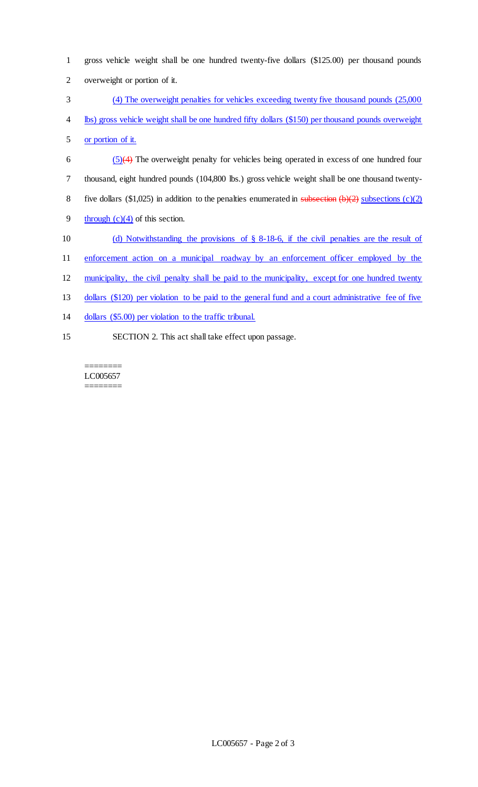| 1  | gross vehicle weight shall be one hundred twenty-five dollars (\$125.00) per thousand pounds             |
|----|----------------------------------------------------------------------------------------------------------|
| 2  | overweight or portion of it.                                                                             |
| 3  | (4) The overweight penalties for vehicles exceeding twenty five thousand pounds (25,000)                 |
| 4  | lbs) gross vehicle weight shall be one hundred fifty dollars (\$150) per thousand pounds overweight      |
| 5  | or portion of it.                                                                                        |
| 6  | $(5)(4)$ The overweight penalty for vehicles being operated in excess of one hundred four                |
| 7  | thousand, eight hundred pounds (104,800 lbs.) gross vehicle weight shall be one thousand twenty-         |
| 8  | five dollars (\$1,025) in addition to the penalties enumerated in subsection $(b)(2)$ subsections (c)(2) |
| 9  | through $(c)(4)$ of this section.                                                                        |
| 10 | (d) Notwithstanding the provisions of $\S$ 8-18-6, if the civil penalties are the result of              |
| 11 | enforcement action on a municipal roadway by an enforcement officer employed by the                      |
| 12 | municipality, the civil penalty shall be paid to the municipality, except for one hundred twenty         |
| 13 | dollars (\$120) per violation to be paid to the general fund and a court administrative fee of five      |
| 14 | dollars (\$5.00) per violation to the traffic tribunal.                                                  |
| 15 | SECTION 2. This act shall take effect upon passage.                                                      |

======== LC005657  $=$